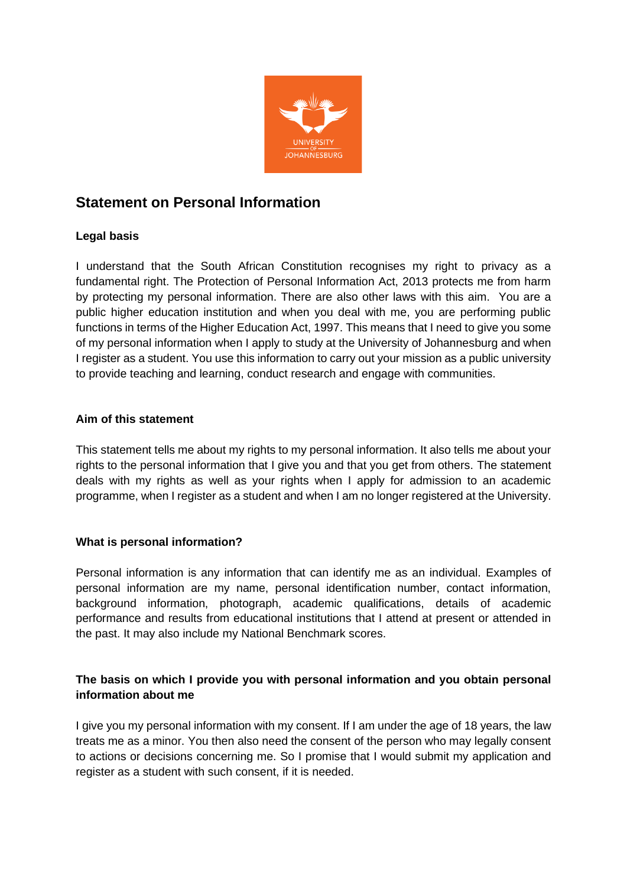

# **Statement on Personal Information**

# **Legal basis**

I understand that the South African Constitution recognises my right to privacy as a fundamental right. The Protection of Personal Information Act, 2013 protects me from harm by protecting my personal information. There are also other laws with this aim. You are a public higher education institution and when you deal with me, you are performing public functions in terms of the Higher Education Act, 1997. This means that I need to give you some of my personal information when I apply to study at the University of Johannesburg and when I register as a student. You use this information to carry out your mission as a public university to provide teaching and learning, conduct research and engage with communities.

## **Aim of this statement**

This statement tells me about my rights to my personal information. It also tells me about your rights to the personal information that I give you and that you get from others. The statement deals with my rights as well as your rights when I apply for admission to an academic programme, when I register as a student and when I am no longer registered at the University.

## **What is personal information?**

Personal information is any information that can identify me as an individual. Examples of personal information are my name, personal identification number, contact information, background information, photograph, academic qualifications, details of academic performance and results from educational institutions that I attend at present or attended in the past. It may also include my National Benchmark scores.

# **The basis on which I provide you with personal information and you obtain personal information about me**

I give you my personal information with my consent. If I am under the age of 18 years, the law treats me as a minor. You then also need the consent of the person who may legally consent to actions or decisions concerning me. So I promise that I would submit my application and register as a student with such consent, if it is needed.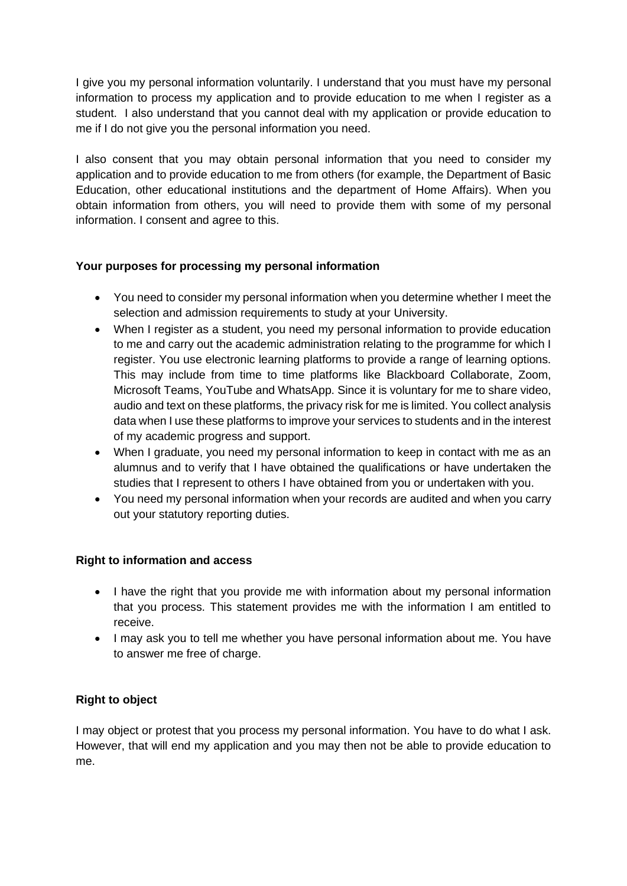I give you my personal information voluntarily. I understand that you must have my personal information to process my application and to provide education to me when I register as a student. I also understand that you cannot deal with my application or provide education to me if I do not give you the personal information you need.

I also consent that you may obtain personal information that you need to consider my application and to provide education to me from others (for example, the Department of Basic Education, other educational institutions and the department of Home Affairs). When you obtain information from others, you will need to provide them with some of my personal information. I consent and agree to this.

# **Your purposes for processing my personal information**

- You need to consider my personal information when you determine whether I meet the selection and admission requirements to study at your University.
- When I register as a student, you need my personal information to provide education to me and carry out the academic administration relating to the programme for which I register. You use electronic learning platforms to provide a range of learning options. This may include from time to time platforms like Blackboard Collaborate, Zoom, Microsoft Teams, YouTube and WhatsApp. Since it is voluntary for me to share video, audio and text on these platforms, the privacy risk for me is limited. You collect analysis data when I use these platforms to improve your services to students and in the interest of my academic progress and support.
- When I graduate, you need my personal information to keep in contact with me as an alumnus and to verify that I have obtained the qualifications or have undertaken the studies that I represent to others I have obtained from you or undertaken with you.
- You need my personal information when your records are audited and when you carry out your statutory reporting duties.

# **Right to information and access**

- I have the right that you provide me with information about my personal information that you process. This statement provides me with the information I am entitled to receive.
- I may ask you to tell me whether you have personal information about me. You have to answer me free of charge.

# **Right to object**

I may object or protest that you process my personal information. You have to do what I ask. However, that will end my application and you may then not be able to provide education to me.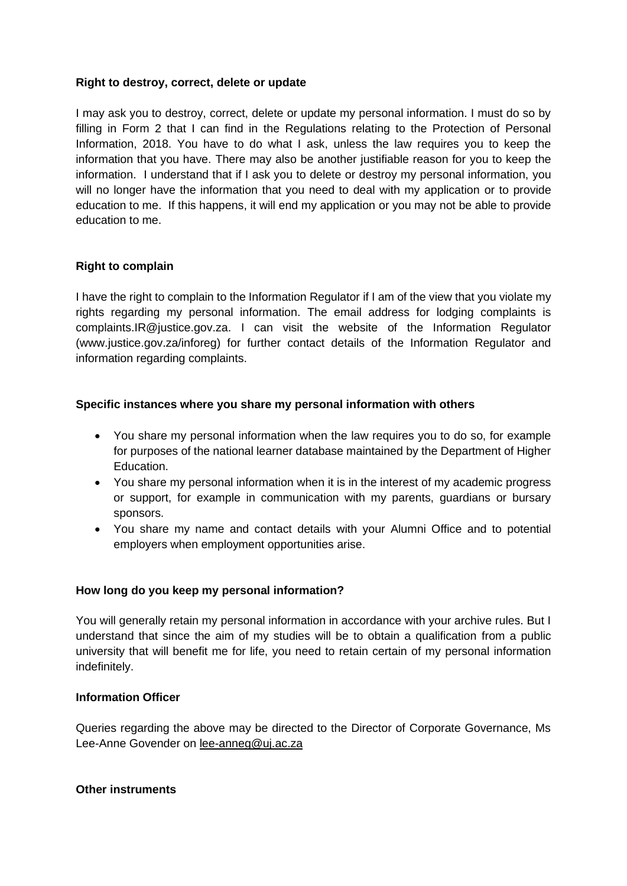### **Right to destroy, correct, delete or update**

I may ask you to destroy, correct, delete or update my personal information. I must do so by filling in Form 2 that I can find in the Regulations relating to the Protection of Personal Information, 2018. You have to do what I ask, unless the law requires you to keep the information that you have. There may also be another justifiable reason for you to keep the information. I understand that if I ask you to delete or destroy my personal information, you will no longer have the information that you need to deal with my application or to provide education to me. If this happens, it will end my application or you may not be able to provide education to me.

## **Right to complain**

I have the right to complain to the Information Regulator if I am of the view that you violate my rights regarding my personal information. The email address for lodging complaints is complaints.IR@justice.gov.za. I can visit the website of the Information Regulator (www.justice.gov.za/inforeg) for further contact details of the Information Regulator and information regarding complaints.

# **Specific instances where you share my personal information with others**

- You share my personal information when the law requires you to do so, for example for purposes of the national learner database maintained by the Department of Higher Education.
- You share my personal information when it is in the interest of my academic progress or support, for example in communication with my parents, guardians or bursary sponsors.
- You share my name and contact details with your Alumni Office and to potential employers when employment opportunities arise.

## **How long do you keep my personal information?**

You will generally retain my personal information in accordance with your archive rules. But I understand that since the aim of my studies will be to obtain a qualification from a public university that will benefit me for life, you need to retain certain of my personal information indefinitely.

## **Information Officer**

Queries regarding the above may be directed to the Director of Corporate Governance, Ms Lee-Anne Govender on [lee-anneg@uj.ac.za](mailto:lee-anneg@uj.ac.za)

#### **Other instruments**